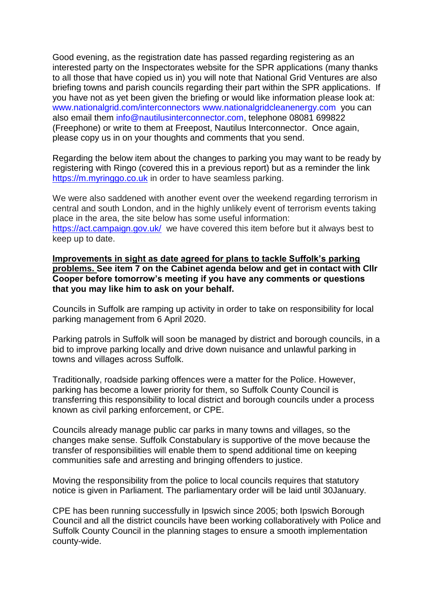Good evening, as the registration date has passed regarding registering as an interested party on the Inspectorates website for the SPR applications (many thanks to all those that have copied us in) you will note that National Grid Ventures are also briefing towns and parish councils regarding their part within the SPR applications. If you have not as yet been given the briefing or would like information please look at: [www.nationalgrid.com/interconnectors](http://www.nationalgrid.com/interconnectors) [www.nationalgridcleanenergy.com](http://www.nationalgridcleanenergy.com/) you can also email them [info@nautilusinterconnector.com,](mailto:info@nautilusinterconnector.com) telephone 08081 699822 (Freephone) or write to them at Freepost, Nautilus Interconnector. Once again, please copy us in on your thoughts and comments that you send.

Regarding the below item about the changes to parking you may want to be ready by registering with Ringo (covered this in a previous report) but as a reminder the link [https://m.myringgo.co.uk](https://m.myringgo.co.uk/) in order to have seamless parking.

We were also saddened with another event over the weekend regarding terrorism in central and south London, and in the highly unlikely event of terrorism events taking place in the area, the site below has some useful information: <https://act.campaign.gov.uk/>we have covered this item before but it always best to keep up to date.

**Improvements in sight as date agreed for plans to tackle Suffolk's parking problems. See item 7 on the Cabinet agenda below and get in contact with Cllr Cooper before tomorrow's meeting if you have any comments or questions that you may like him to ask on your behalf.**

Councils in Suffolk are ramping up activity in order to take on responsibility for local parking management from 6 April 2020.

Parking patrols in Suffolk will soon be managed by district and borough councils, in a bid to improve parking locally and drive down nuisance and unlawful parking in towns and villages across Suffolk.

Traditionally, roadside parking offences were a matter for the Police. However, parking has become a lower priority for them, so Suffolk County Council is transferring this responsibility to local district and borough councils under a process known as civil parking enforcement, or CPE.

Councils already manage public car parks in many towns and villages, so the changes make sense. Suffolk Constabulary is supportive of the move because the transfer of responsibilities will enable them to spend additional time on keeping communities safe and arresting and bringing offenders to justice.

Moving the responsibility from the police to local councils requires that statutory notice is given in Parliament. The parliamentary order will be laid until 30January.

CPE has been running successfully in Ipswich since 2005; both Ipswich Borough Council and all the district councils have been working collaboratively with Police and Suffolk County Council in the planning stages to ensure a smooth implementation county-wide.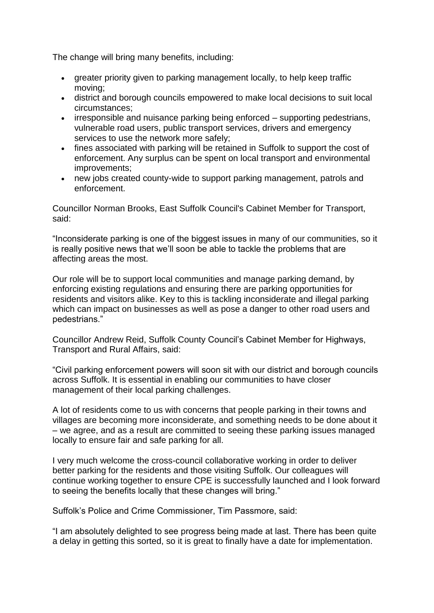The change will bring many benefits, including:

- greater priority given to parking management locally, to help keep traffic moving;
- district and borough councils empowered to make local decisions to suit local circumstances;
- irresponsible and nuisance parking being enforced supporting pedestrians, vulnerable road users, public transport services, drivers and emergency services to use the network more safely;
- fines associated with parking will be retained in Suffolk to support the cost of enforcement. Any surplus can be spent on local transport and environmental improvements;
- new jobs created county-wide to support parking management, patrols and enforcement.

Councillor Norman Brooks, East Suffolk Council's Cabinet Member for Transport, said:

"Inconsiderate parking is one of the biggest issues in many of our communities, so it is really positive news that we'll soon be able to tackle the problems that are affecting areas the most.

Our role will be to support local communities and manage parking demand, by enforcing existing regulations and ensuring there are parking opportunities for residents and visitors alike. Key to this is tackling inconsiderate and illegal parking which can impact on businesses as well as pose a danger to other road users and pedestrians."

Councillor Andrew Reid, Suffolk County Council's Cabinet Member for Highways, Transport and Rural Affairs, said:

"Civil parking enforcement powers will soon sit with our district and borough councils across Suffolk. It is essential in enabling our communities to have closer management of their local parking challenges.

A lot of residents come to us with concerns that people parking in their towns and villages are becoming more inconsiderate, and something needs to be done about it – we agree, and as a result are committed to seeing these parking issues managed locally to ensure fair and safe parking for all.

I very much welcome the cross-council collaborative working in order to deliver better parking for the residents and those visiting Suffolk. Our colleagues will continue working together to ensure CPE is successfully launched and I look forward to seeing the benefits locally that these changes will bring."

Suffolk's Police and Crime Commissioner, Tim Passmore, said:

"I am absolutely delighted to see progress being made at last. There has been quite a delay in getting this sorted, so it is great to finally have a date for implementation.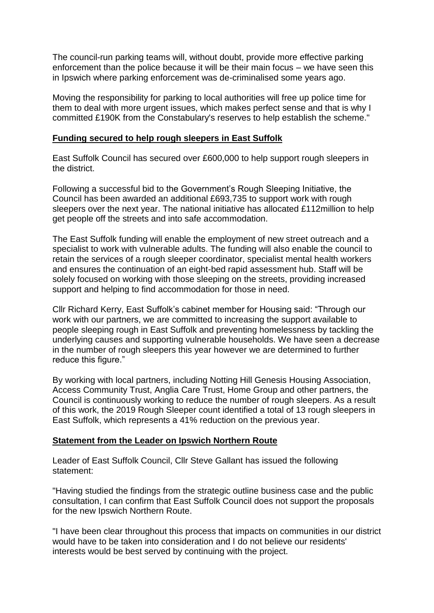The council-run parking teams will, without doubt, provide more effective parking enforcement than the police because it will be their main focus – we have seen this in Ipswich where parking enforcement was de-criminalised some years ago.

Moving the responsibility for parking to local authorities will free up police time for them to deal with more urgent issues, which makes perfect sense and that is why I committed £190K from the Constabulary's reserves to help establish the scheme."

## **Funding secured to help rough sleepers in East Suffolk**

East Suffolk Council has secured over £600,000 to help support rough sleepers in the district.

Following a successful bid to the Government's Rough Sleeping Initiative, the Council has been awarded an additional £693,735 to support work with rough sleepers over the next year. The national initiative has allocated £112million to help get people off the streets and into safe accommodation.

The East Suffolk funding will enable the employment of new street outreach and a specialist to work with vulnerable adults. The funding will also enable the council to retain the services of a rough sleeper coordinator, specialist mental health workers and ensures the continuation of an eight-bed rapid assessment hub. Staff will be solely focused on working with those sleeping on the streets, providing increased support and helping to find accommodation for those in need.

Cllr Richard Kerry, East Suffolk's cabinet member for Housing said: "Through our work with our partners, we are committed to increasing the support available to people sleeping rough in East Suffolk and preventing homelessness by tackling the underlying causes and supporting vulnerable households. We have seen a decrease in the number of rough sleepers this year however we are determined to further reduce this figure."

By working with local partners, including Notting Hill Genesis Housing Association, Access Community Trust, Anglia Care Trust, Home Group and other partners, the Council is continuously working to reduce the number of rough sleepers. As a result of this work, the 2019 Rough Sleeper count identified a total of 13 rough sleepers in East Suffolk, which represents a 41% reduction on the previous year.

# **Statement from the Leader on Ipswich Northern Route**

Leader of East Suffolk Council, Cllr Steve Gallant has issued the following statement:

"Having studied the findings from the strategic outline business case and the public consultation, I can confirm that East Suffolk Council does not support the proposals for the new Ipswich Northern Route.

"I have been clear throughout this process that impacts on communities in our district would have to be taken into consideration and I do not believe our residents' interests would be best served by continuing with the project.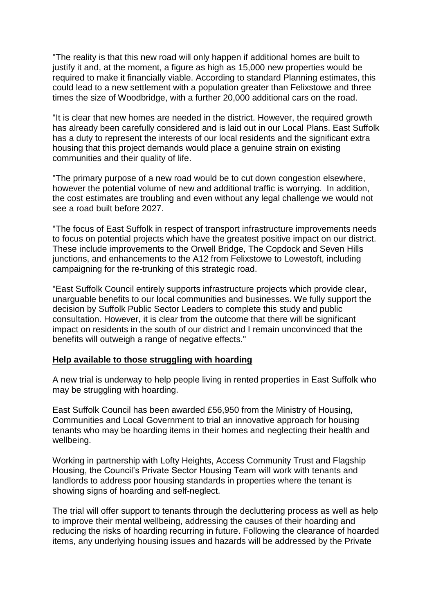"The reality is that this new road will only happen if additional homes are built to justify it and, at the moment, a figure as high as 15,000 new properties would be required to make it financially viable. According to standard Planning estimates, this could lead to a new settlement with a population greater than Felixstowe and three times the size of Woodbridge, with a further 20,000 additional cars on the road.

"It is clear that new homes are needed in the district. However, the required growth has already been carefully considered and is laid out in our Local Plans. East Suffolk has a duty to represent the interests of our local residents and the significant extra housing that this project demands would place a genuine strain on existing communities and their quality of life.

"The primary purpose of a new road would be to cut down congestion elsewhere, however the potential volume of new and additional traffic is worrying. In addition, the cost estimates are troubling and even without any legal challenge we would not see a road built before 2027.

"The focus of East Suffolk in respect of transport infrastructure improvements needs to focus on potential projects which have the greatest positive impact on our district. These include improvements to the Orwell Bridge, The Copdock and Seven Hills junctions, and enhancements to the A12 from Felixstowe to Lowestoft, including campaigning for the re-trunking of this strategic road.

"East Suffolk Council entirely supports infrastructure projects which provide clear, unarguable benefits to our local communities and businesses. We fully support the decision by Suffolk Public Sector Leaders to complete this study and public consultation. However, it is clear from the outcome that there will be significant impact on residents in the south of our district and I remain unconvinced that the benefits will outweigh a range of negative effects."

# **Help available to those struggling with hoarding**

A new trial is underway to help people living in rented properties in East Suffolk who may be struggling with hoarding.

East Suffolk Council has been awarded £56,950 from the Ministry of Housing, Communities and Local Government to trial an innovative approach for housing tenants who may be hoarding items in their homes and neglecting their health and wellbeing.

Working in partnership with Lofty Heights, Access Community Trust and Flagship Housing, the Council's Private Sector Housing Team will work with tenants and landlords to address poor housing standards in properties where the tenant is showing signs of hoarding and self-neglect.

The trial will offer support to tenants through the decluttering process as well as help to improve their mental wellbeing, addressing the causes of their hoarding and reducing the risks of hoarding recurring in future. Following the clearance of hoarded items, any underlying housing issues and hazards will be addressed by the Private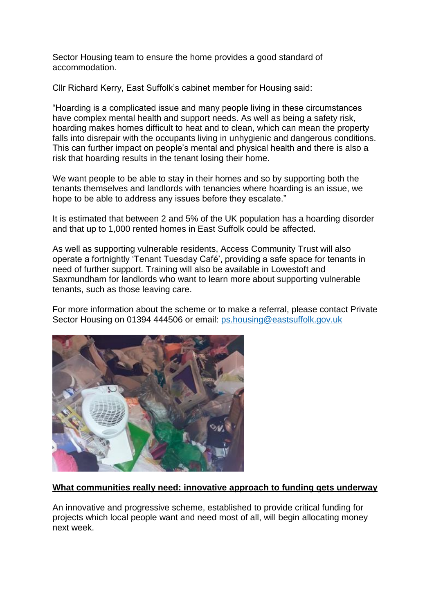Sector Housing team to ensure the home provides a good standard of accommodation.

Cllr Richard Kerry, East Suffolk's cabinet member for Housing said:

"Hoarding is a complicated issue and many people living in these circumstances have complex mental health and support needs. As well as being a safety risk, hoarding makes homes difficult to heat and to clean, which can mean the property falls into disrepair with the occupants living in unhygienic and dangerous conditions. This can further impact on people's mental and physical health and there is also a risk that hoarding results in the tenant losing their home.

We want people to be able to stay in their homes and so by supporting both the tenants themselves and landlords with tenancies where hoarding is an issue, we hope to be able to address any issues before they escalate."

It is estimated that between 2 and 5% of the UK population has a hoarding disorder and that up to 1,000 rented homes in East Suffolk could be affected.

As well as supporting vulnerable residents, Access Community Trust will also operate a fortnightly 'Tenant Tuesday Café', providing a safe space for tenants in need of further support. Training will also be available in Lowestoft and Saxmundham for landlords who want to learn more about supporting vulnerable tenants, such as those leaving care.

For more information about the scheme or to make a referral, please contact Private Sector Housing on 01394 444506 or email: [ps.housing@eastsuffolk.gov.uk](mailto:ps.housing@eastsuffolk.gov.uk)



# **What communities really need: innovative approach to funding gets underway**

An innovative and progressive scheme, established to provide critical funding for projects which local people want and need most of all, will begin allocating money next week.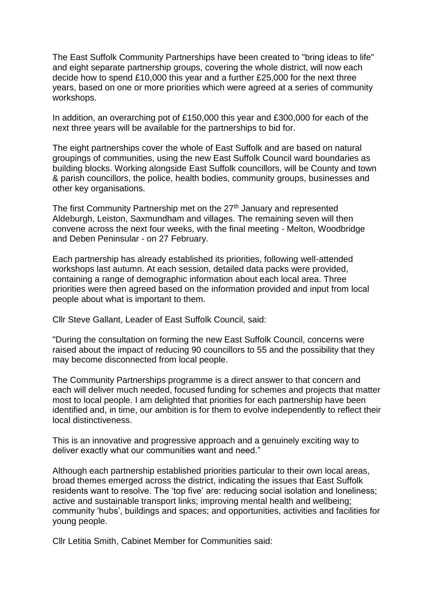The East Suffolk Community Partnerships have been created to "bring ideas to life" and eight separate partnership groups, covering the whole district, will now each decide how to spend £10,000 this year and a further £25,000 for the next three years, based on one or more priorities which were agreed at a series of community workshops.

In addition, an overarching pot of £150,000 this year and £300,000 for each of the next three years will be available for the partnerships to bid for.

The eight partnerships cover the whole of East Suffolk and are based on natural groupings of communities, using the new East Suffolk Council ward boundaries as building blocks. Working alongside East Suffolk councillors, will be County and town & parish councillors, the police, health bodies, community groups, businesses and other key organisations.

The first Community Partnership met on the 27<sup>th</sup> January and represented Aldeburgh, Leiston, Saxmundham and villages. The remaining seven will then convene across the next four weeks, with the final meeting - Melton, Woodbridge and Deben Peninsular - on 27 February.

Each partnership has already established its priorities, following well-attended workshops last autumn. At each session, detailed data packs were provided, containing a range of demographic information about each local area. Three priorities were then agreed based on the information provided and input from local people about what is important to them.

Cllr Steve Gallant, Leader of East Suffolk Council, said:

"During the consultation on forming the new East Suffolk Council, concerns were raised about the impact of reducing 90 councillors to 55 and the possibility that they may become disconnected from local people.

The Community Partnerships programme is a direct answer to that concern and each will deliver much needed, focused funding for schemes and projects that matter most to local people. I am delighted that priorities for each partnership have been identified and, in time, our ambition is for them to evolve independently to reflect their local distinctiveness.

This is an innovative and progressive approach and a genuinely exciting way to deliver exactly what our communities want and need."

Although each partnership established priorities particular to their own local areas, broad themes emerged across the district, indicating the issues that East Suffolk residents want to resolve. The 'top five' are: reducing social isolation and loneliness; active and sustainable transport links; improving mental health and wellbeing; community 'hubs', buildings and spaces; and opportunities, activities and facilities for young people.

Cllr Letitia Smith, Cabinet Member for Communities said: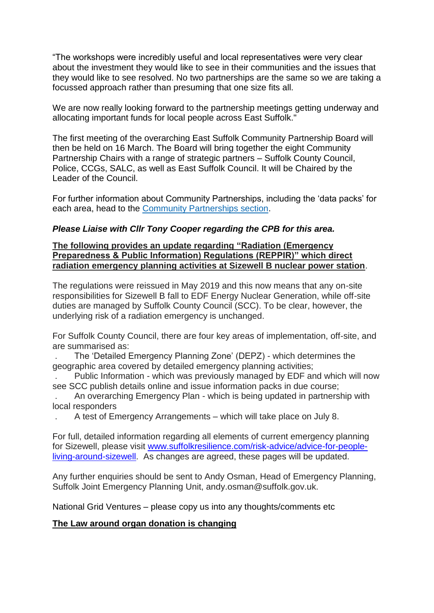"The workshops were incredibly useful and local representatives were very clear about the investment they would like to see in their communities and the issues that they would like to see resolved. No two partnerships are the same so we are taking a focussed approach rather than presuming that one size fits all.

We are now really looking forward to the partnership meetings getting underway and allocating important funds for local people across East Suffolk."

The first meeting of the overarching East Suffolk Community Partnership Board will then be held on 16 March. The Board will bring together the eight Community Partnership Chairs with a range of strategic partners – Suffolk County Council, Police, CCGs, SALC, as well as East Suffolk Council. It will be Chaired by the Leader of the Council.

For further information about Community Partnerships, including the 'data packs' for each area, head to the [Community Partnerships section.](https://www.eastsuffolk.gov.uk/community/community-partnerships/)

### *Please Liaise with Cllr Tony Cooper regarding the CPB for this area.*

### **The following provides an update regarding "Radiation (Emergency Preparedness & Public Information) Regulations (REPPIR)" which direct radiation emergency planning activities at Sizewell B nuclear power station**.

The regulations were reissued in May 2019 and this now means that any on-site responsibilities for Sizewell B fall to EDF Energy Nuclear Generation, while off-site duties are managed by Suffolk County Council (SCC). To be clear, however, the underlying risk of a radiation emergency is unchanged.

For Suffolk County Council, there are four key areas of implementation, off-site, and are summarised as:

. The 'Detailed Emergency Planning Zone' (DEPZ) - which determines the geographic area covered by detailed emergency planning activities;

. Public Information - which was previously managed by EDF and which will now see SCC publish details online and issue information packs in due course;

. An overarching Emergency Plan - which is being updated in partnership with local responders

. A test of Emergency Arrangements – which will take place on July 8.

For full, detailed information regarding all elements of current emergency planning for Sizewell, please visit [www.suffolkresilience.com/risk-advice/advice-for-people](http://www.suffolkresilience.com/risk-advice/advice-for-people-living-around-sizewell)[living-around-sizewell.](http://www.suffolkresilience.com/risk-advice/advice-for-people-living-around-sizewell) As changes are agreed, these pages will be updated.

Any further enquiries should be sent to Andy Osman, Head of Emergency Planning, Suffolk Joint Emergency Planning Unit, andy.osman@suffolk.gov.uk.

National Grid Ventures – please copy us into any thoughts/comments etc

# **The Law around organ donation is changing**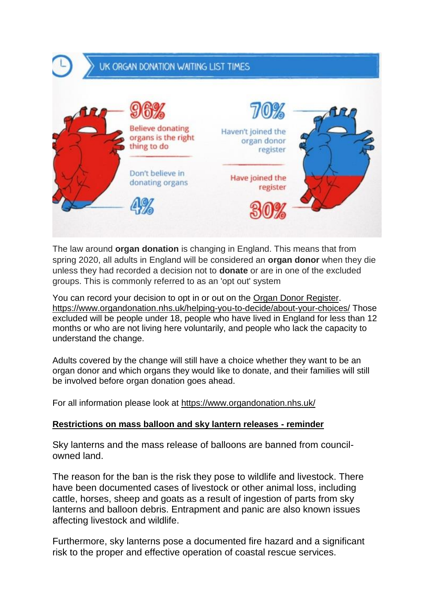# UK ORGAN DONATION WAITING LIST TIMES



The law around **organ donation** is changing in England. This means that from spring 2020, all adults in England will be considered an **organ donor** when they die unless they had recorded a decision not to **donate** or are in one of the excluded groups. This is commonly referred to as an 'opt out' system

You can record your decision to opt in or out on the [Organ Donor Register.](https://www.organdonation.nhs.uk/helping-you-to-decide/about-your-choices/) <https://www.organdonation.nhs.uk/helping-you-to-decide/about-your-choices/> Those excluded will be people under 18, people who have lived in England for less than 12 months or who are not living here voluntarily, and people who lack the capacity to understand the change.

Adults covered by the change will still have a choice whether they want to be an organ donor and which organs they would like to donate, and their families will still be involved before organ donation goes ahead.

For all information please look at<https://www.organdonation.nhs.uk/>

# **Restrictions on mass balloon and sky lantern releases - reminder**

Sky lanterns and the mass release of balloons are banned from councilowned land.

The reason for the ban is the risk they pose to wildlife and livestock. There have been documented cases of livestock or other animal loss, including cattle, horses, sheep and goats as a result of ingestion of parts from sky lanterns and balloon debris. Entrapment and panic are also known issues affecting livestock and wildlife.

Furthermore, sky lanterns pose a documented fire hazard and a significant risk to the proper and effective operation of coastal rescue services.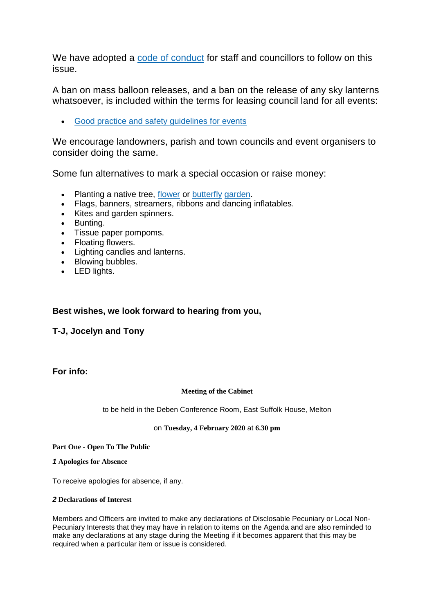We have adopted a [code of conduct](https://www.eastsuffolk.gov.uk/assets/Environment/Environmental-Protection/Balloon-releases-code-of-conduct.pdf) for staff and councillors to follow on this issue.

A ban on mass balloon releases, and a ban on the release of any sky lanterns whatsoever, is included within the terms for leasing council land for all events:

[Good practice and safety guidelines for events](https://www.eastsuffolk.gov.uk/assets/Community/Good-practice-and-safety-guidelines-for-events.pdf)

We encourage landowners, parish and town councils and event organisers to consider doing the same.

Some fun alternatives to mark a special occasion or raise money:

- Planting a native tree, [flower](http://www.plantlife.org.uk/uk) or [butterfly](http://www.suffolkwildlifetrust.org/advice-directory) [garden.](https://www.growwilduk.com/)
- Flags, banners, streamers, ribbons and dancing inflatables.
- Kites and garden spinners.
- Bunting.
- Tissue paper pompoms.
- Floating flowers.
- Lighting candles and lanterns.
- Blowing bubbles.
- LED lights.

# **Best wishes, we look forward to hearing from you,**

**T-J, Jocelyn and Tony**

**For info:**

#### **Meeting of the Cabinet**

to be held in the Deben Conference Room, East Suffolk House, Melton

#### on **Tuesday, 4 February 2020** at **6.30 pm**

**Part One - Open To The Public**

*1* **Apologies for Absence**

To receive apologies for absence, if any.

#### *2* **Declarations of Interest**

Members and Officers are invited to make any declarations of Disclosable Pecuniary or Local Non-Pecuniary Interests that they may have in relation to items on the Agenda and are also reminded to make any declarations at any stage during the Meeting if it becomes apparent that this may be required when a particular item or issue is considered.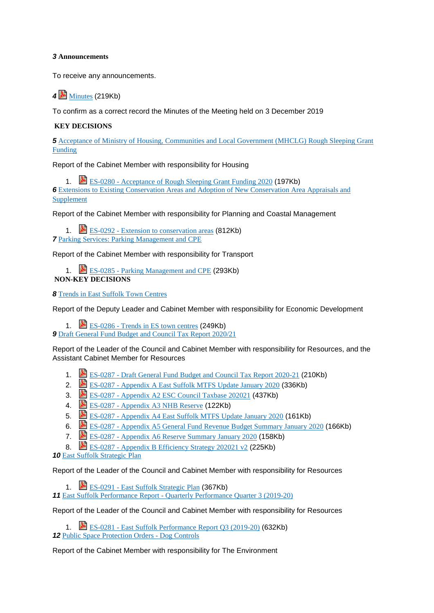#### *3* **Announcements**

To receive any announcements.

*4* [Minutes](https://eastsuffolk.cmis.uk.com/EastSuffolk/Document.ashx?czJKcaeAi5tUFL1DTL2UE4zNRBcoShgo=cJA%2fa6EvfbzI2EDdRXL1Bm5k3QwO8zwpuSpGpSU7zsgF3REVMlf2fA%3d%3d&rUzwRPf%2bZ3zd4E7Ikn8Lyw%3d%3d=pwRE6AGJFLDNlh225F5QMaQWCtPHwdhUfCZ%2fLUQzgA2uL5jNRG4jdQ%3d%3d&mCTIbCubSFfXsDGW9IXnlg%3d%3d=hFflUdN3100%3d&kCx1AnS9%2fpWZQ40DXFvdEw%3d%3d=hFflUdN3100%3d&uJovDxwdjMPoYv%2bAJvYtyA%3d%3d=ctNJFf55vVA%3d&FgPlIEJYlotS%2bYGoBi5olA%3d%3d=NHdURQburHA%3d&d9Qjj0ag1Pd993jsyOJqFvmyB7X0CSQK=ctNJFf55vVA%3d&WGewmoAfeNR9xqBux0r1Q8Za60lavYmz=ctNJFf55vVA%3d&WGewmoAfeNQ16B2MHuCpMRKZMwaG1PaO=ctNJFf55vVA%3d) (219Kb)

To confirm as a correct record the Minutes of the Meeting held on 3 December 2019

#### **KEY DECISIONS**

*5* Acceptance of Ministry of Housing, [Communities](http://eastsuffolk.cmis.uk.com/eastsuffolk/Decisions/tabid/67/ctl/ViewCMIS_DecisionDetails/mid/391/Id/1d864477-7582-44f4-a0bd-ff634ecebd9e/Default.aspx) and Local Government (MHCLG) Rough Sleeping Grant [Funding](http://eastsuffolk.cmis.uk.com/eastsuffolk/Decisions/tabid/67/ctl/ViewCMIS_DecisionDetails/mid/391/Id/1d864477-7582-44f4-a0bd-ff634ecebd9e/Default.aspx)

Report of the Cabinet Member with responsibility for Housing

1. ES-0280 - [Acceptance](https://eastsuffolk.cmis.uk.com/EastSuffolk/Document.ashx?czJKcaeAi5tUFL1DTL2UE4zNRBcoShgo=LL6aSxUrA1zBLjPpahwM0O4kx1%2fMVvlPZJpG2Yy5x0Odic7z2OQFqw%3d%3d&rUzwRPf%2bZ3zd4E7Ikn8Lyw%3d%3d=pwRE6AGJFLDNlh225F5QMaQWCtPHwdhUfCZ%2fLUQzgA2uL5jNRG4jdQ%3d%3d&mCTIbCubSFfXsDGW9IXnlg%3d%3d=hFflUdN3100%3d&kCx1AnS9%2fpWZQ40DXFvdEw%3d%3d=hFflUdN3100%3d&uJovDxwdjMPoYv%2bAJvYtyA%3d%3d=ctNJFf55vVA%3d&FgPlIEJYlotS%2bYGoBi5olA%3d%3d=NHdURQburHA%3d&d9Qjj0ag1Pd993jsyOJqFvmyB7X0CSQK=ctNJFf55vVA%3d&WGewmoAfeNR9xqBux0r1Q8Za60lavYmz=ctNJFf55vVA%3d&WGewmoAfeNQ16B2MHuCpMRKZMwaG1PaO=ctNJFf55vVA%3d) of Rough Sleeping Grant Funding 2020 (197Kb) **6** Extensions to Existing [Conservation](http://eastsuffolk.cmis.uk.com/eastsuffolk/Decisions/tabid/67/ctl/ViewCMIS_DecisionDetails/mid/391/Id/cdfc6d42-09d8-4f21-914e-8338c112bddd/Default.aspx) Areas and Adoption of New Conservation Area Appraisals and [Supplement](http://eastsuffolk.cmis.uk.com/eastsuffolk/Decisions/tabid/67/ctl/ViewCMIS_DecisionDetails/mid/391/Id/cdfc6d42-09d8-4f21-914e-8338c112bddd/Default.aspx)

Report of the Cabinet Member with responsibility for Planning and Coastal Management

1. **EXALC** EXTEL EXTENSION TO CONSERVATION areas (812Kb) *7* Parking Services: Parking [Management](http://eastsuffolk.cmis.uk.com/eastsuffolk/Decisions/tabid/67/ctl/ViewCMIS_DecisionDetails/mid/391/Id/1dbc2251-74dc-4e95-9c46-56d8b098327f/Default.aspx) and CPE

Report of the Cabinet Member with responsibility for Transport

1. ES-0285 - Parking [Management](https://eastsuffolk.cmis.uk.com/EastSuffolk/Document.ashx?czJKcaeAi5tUFL1DTL2UE4zNRBcoShgo=dEM%2fZ4QaorFa69yMIwWrtIcK5CWTVXymIEaTr%2btSALRhR2%2f4FKq7hQ%3d%3d&rUzwRPf%2bZ3zd4E7Ikn8Lyw%3d%3d=pwRE6AGJFLDNlh225F5QMaQWCtPHwdhUfCZ%2fLUQzgA2uL5jNRG4jdQ%3d%3d&mCTIbCubSFfXsDGW9IXnlg%3d%3d=hFflUdN3100%3d&kCx1AnS9%2fpWZQ40DXFvdEw%3d%3d=hFflUdN3100%3d&uJovDxwdjMPoYv%2bAJvYtyA%3d%3d=ctNJFf55vVA%3d&FgPlIEJYlotS%2bYGoBi5olA%3d%3d=NHdURQburHA%3d&d9Qjj0ag1Pd993jsyOJqFvmyB7X0CSQK=ctNJFf55vVA%3d&WGewmoAfeNR9xqBux0r1Q8Za60lavYmz=ctNJFf55vVA%3d&WGewmoAfeNQ16B2MHuCpMRKZMwaG1PaO=ctNJFf55vVA%3d) and CPE (293Kb) **NON-KEY DECISIONS**

*8* Trends in East Suffolk Town [Centres](http://eastsuffolk.cmis.uk.com/eastsuffolk/Decisions/tabid/67/ctl/ViewCMIS_DecisionDetails/mid/391/Id/7c076733-e291-43d9-a4e4-59b169691371/Default.aspx)

Report of the Deputy Leader and Cabinet Member with responsibility for Economic Development

1. [ES-0286](https://eastsuffolk.cmis.uk.com/EastSuffolk/Document.ashx?czJKcaeAi5tUFL1DTL2UE4zNRBcoShgo=J2XI9FfGtkOoj0rwlSnMjCpFp3hu0ynGM8m1kcJU7%2bW53BOEbNwijQ%3d%3d&rUzwRPf%2bZ3zd4E7Ikn8Lyw%3d%3d=pwRE6AGJFLDNlh225F5QMaQWCtPHwdhUfCZ%2fLUQzgA2uL5jNRG4jdQ%3d%3d&mCTIbCubSFfXsDGW9IXnlg%3d%3d=hFflUdN3100%3d&kCx1AnS9%2fpWZQ40DXFvdEw%3d%3d=hFflUdN3100%3d&uJovDxwdjMPoYv%2bAJvYtyA%3d%3d=ctNJFf55vVA%3d&FgPlIEJYlotS%2bYGoBi5olA%3d%3d=NHdURQburHA%3d&d9Qjj0ag1Pd993jsyOJqFvmyB7X0CSQK=ctNJFf55vVA%3d&WGewmoAfeNR9xqBux0r1Q8Za60lavYmz=ctNJFf55vVA%3d&WGewmoAfeNQ16B2MHuCpMRKZMwaG1PaO=ctNJFf55vVA%3d) - Trends in ES town centres (249Kb)

*9* Draft General Fund Budget and Council Tax Report [2020/21](http://eastsuffolk.cmis.uk.com/eastsuffolk/Decisions/tabid/67/ctl/ViewCMIS_DecisionDetails/mid/391/Id/a8d5edb8-44d2-4881-a8f2-a3dd210ac9ee/Default.aspx)

Report of the Leader of the Council and Cabinet Member with responsibility for Resources, and the Assistant Cabinet Member for Resources

- 1. [ES-0287](https://eastsuffolk.cmis.uk.com/EastSuffolk/Document.ashx?czJKcaeAi5tUFL1DTL2UE4zNRBcoShgo=2VcNzu17ZG6jbgpRmvjCWfQa0X6vtVFJL7TQcl1XvN92P3HM%2buttZw%3d%3d&rUzwRPf%2bZ3zd4E7Ikn8Lyw%3d%3d=pwRE6AGJFLDNlh225F5QMaQWCtPHwdhUfCZ%2fLUQzgA2uL5jNRG4jdQ%3d%3d&mCTIbCubSFfXsDGW9IXnlg%3d%3d=hFflUdN3100%3d&kCx1AnS9%2fpWZQ40DXFvdEw%3d%3d=hFflUdN3100%3d&uJovDxwdjMPoYv%2bAJvYtyA%3d%3d=ctNJFf55vVA%3d&FgPlIEJYlotS%2bYGoBi5olA%3d%3d=NHdURQburHA%3d&d9Qjj0ag1Pd993jsyOJqFvmyB7X0CSQK=ctNJFf55vVA%3d&WGewmoAfeNR9xqBux0r1Q8Za60lavYmz=ctNJFf55vVA%3d&WGewmoAfeNQ16B2MHuCpMRKZMwaG1PaO=ctNJFf55vVA%3d) Draft General Fund Budget and Council Tax Report 2020-21 (210Kb)
- 2. ES-0287 [Appendix](https://eastsuffolk.cmis.uk.com/EastSuffolk/Document.ashx?czJKcaeAi5tUFL1DTL2UE4zNRBcoShgo=2ITlhUR5NaCu%2fiFhpYzmnWntyDL3nEyh489qjZizN%2b9Up6B9aNzmbQ%3d%3d&rUzwRPf%2bZ3zd4E7Ikn8Lyw%3d%3d=pwRE6AGJFLDNlh225F5QMaQWCtPHwdhUfCZ%2fLUQzgA2uL5jNRG4jdQ%3d%3d&mCTIbCubSFfXsDGW9IXnlg%3d%3d=hFflUdN3100%3d&kCx1AnS9%2fpWZQ40DXFvdEw%3d%3d=hFflUdN3100%3d&uJovDxwdjMPoYv%2bAJvYtyA%3d%3d=ctNJFf55vVA%3d&FgPlIEJYlotS%2bYGoBi5olA%3d%3d=NHdURQburHA%3d&d9Qjj0ag1Pd993jsyOJqFvmyB7X0CSQK=ctNJFf55vVA%3d&WGewmoAfeNR9xqBux0r1Q8Za60lavYmz=ctNJFf55vVA%3d&WGewmoAfeNQ16B2MHuCpMRKZMwaG1PaO=ctNJFf55vVA%3d) A East Suffolk MTFS Update January 2020 (336Kb)
- 3. ES-0287 [Appendix](https://eastsuffolk.cmis.uk.com/EastSuffolk/Document.ashx?czJKcaeAi5tUFL1DTL2UE4zNRBcoShgo=Tys6F8Z00An79si65yME6lU%2fopS6FeIv1jrGdWWzfTiFzgFO9LhMaw%3d%3d&rUzwRPf%2bZ3zd4E7Ikn8Lyw%3d%3d=pwRE6AGJFLDNlh225F5QMaQWCtPHwdhUfCZ%2fLUQzgA2uL5jNRG4jdQ%3d%3d&mCTIbCubSFfXsDGW9IXnlg%3d%3d=hFflUdN3100%3d&kCx1AnS9%2fpWZQ40DXFvdEw%3d%3d=hFflUdN3100%3d&uJovDxwdjMPoYv%2bAJvYtyA%3d%3d=ctNJFf55vVA%3d&FgPlIEJYlotS%2bYGoBi5olA%3d%3d=NHdURQburHA%3d&d9Qjj0ag1Pd993jsyOJqFvmyB7X0CSQK=ctNJFf55vVA%3d&WGewmoAfeNR9xqBux0r1Q8Za60lavYmz=ctNJFf55vVA%3d&WGewmoAfeNQ16B2MHuCpMRKZMwaG1PaO=ctNJFf55vVA%3d) A2 ESC Council Taxbase 202021 (437Kb)
- 4. ES-0287 [Appendix](https://eastsuffolk.cmis.uk.com/EastSuffolk/Document.ashx?czJKcaeAi5tUFL1DTL2UE4zNRBcoShgo=C9Li0LITarj8utO8pIV3Qn5eKnXsXy26x7uKubLZ9z6UYxby1Ebn%2bQ%3d%3d&rUzwRPf%2bZ3zd4E7Ikn8Lyw%3d%3d=pwRE6AGJFLDNlh225F5QMaQWCtPHwdhUfCZ%2fLUQzgA2uL5jNRG4jdQ%3d%3d&mCTIbCubSFfXsDGW9IXnlg%3d%3d=hFflUdN3100%3d&kCx1AnS9%2fpWZQ40DXFvdEw%3d%3d=hFflUdN3100%3d&uJovDxwdjMPoYv%2bAJvYtyA%3d%3d=ctNJFf55vVA%3d&FgPlIEJYlotS%2bYGoBi5olA%3d%3d=NHdURQburHA%3d&d9Qjj0ag1Pd993jsyOJqFvmyB7X0CSQK=ctNJFf55vVA%3d&WGewmoAfeNR9xqBux0r1Q8Za60lavYmz=ctNJFf55vVA%3d&WGewmoAfeNQ16B2MHuCpMRKZMwaG1PaO=ctNJFf55vVA%3d) A3 NHB Reserve (122Kb)
- 5. ES-0287 [Appendix](https://eastsuffolk.cmis.uk.com/EastSuffolk/Document.ashx?czJKcaeAi5tUFL1DTL2UE4zNRBcoShgo=uy9YRwdBeAlNPizvRBNToJE9RC8wn3lrYZDFiX1yT8qUKwknDkV5fg%3d%3d&rUzwRPf%2bZ3zd4E7Ikn8Lyw%3d%3d=pwRE6AGJFLDNlh225F5QMaQWCtPHwdhUfCZ%2fLUQzgA2uL5jNRG4jdQ%3d%3d&mCTIbCubSFfXsDGW9IXnlg%3d%3d=hFflUdN3100%3d&kCx1AnS9%2fpWZQ40DXFvdEw%3d%3d=hFflUdN3100%3d&uJovDxwdjMPoYv%2bAJvYtyA%3d%3d=ctNJFf55vVA%3d&FgPlIEJYlotS%2bYGoBi5olA%3d%3d=NHdURQburHA%3d&d9Qjj0ag1Pd993jsyOJqFvmyB7X0CSQK=ctNJFf55vVA%3d&WGewmoAfeNR9xqBux0r1Q8Za60lavYmz=ctNJFf55vVA%3d&WGewmoAfeNQ16B2MHuCpMRKZMwaG1PaO=ctNJFf55vVA%3d) A4 East Suffolk MTFS Update January 2020 (161Kb)
- 6. ES-0287 [Appendix](https://eastsuffolk.cmis.uk.com/EastSuffolk/Document.ashx?czJKcaeAi5tUFL1DTL2UE4zNRBcoShgo=Yf%2bP3nfOJLQnVdc%2bnNlRYVQ5xrguYUiPYi2ZjE79XO3uMI50UNC4bg%3d%3d&rUzwRPf%2bZ3zd4E7Ikn8Lyw%3d%3d=pwRE6AGJFLDNlh225F5QMaQWCtPHwdhUfCZ%2fLUQzgA2uL5jNRG4jdQ%3d%3d&mCTIbCubSFfXsDGW9IXnlg%3d%3d=hFflUdN3100%3d&kCx1AnS9%2fpWZQ40DXFvdEw%3d%3d=hFflUdN3100%3d&uJovDxwdjMPoYv%2bAJvYtyA%3d%3d=ctNJFf55vVA%3d&FgPlIEJYlotS%2bYGoBi5olA%3d%3d=NHdURQburHA%3d&d9Qjj0ag1Pd993jsyOJqFvmyB7X0CSQK=ctNJFf55vVA%3d&WGewmoAfeNR9xqBux0r1Q8Za60lavYmz=ctNJFf55vVA%3d&WGewmoAfeNQ16B2MHuCpMRKZMwaG1PaO=ctNJFf55vVA%3d) A5 General Fund Revenue Budget Summary January 2020 (166Kb)
- 7. ES-0287 [Appendix](https://eastsuffolk.cmis.uk.com/EastSuffolk/Document.ashx?czJKcaeAi5tUFL1DTL2UE4zNRBcoShgo=Gh5iirOwn345%2bqKs4y1HfXsDlyveQ%2bO1CobqIFBgC2iUW81LmiRJuA%3d%3d&rUzwRPf%2bZ3zd4E7Ikn8Lyw%3d%3d=pwRE6AGJFLDNlh225F5QMaQWCtPHwdhUfCZ%2fLUQzgA2uL5jNRG4jdQ%3d%3d&mCTIbCubSFfXsDGW9IXnlg%3d%3d=hFflUdN3100%3d&kCx1AnS9%2fpWZQ40DXFvdEw%3d%3d=hFflUdN3100%3d&uJovDxwdjMPoYv%2bAJvYtyA%3d%3d=ctNJFf55vVA%3d&FgPlIEJYlotS%2bYGoBi5olA%3d%3d=NHdURQburHA%3d&d9Qjj0ag1Pd993jsyOJqFvmyB7X0CSQK=ctNJFf55vVA%3d&WGewmoAfeNR9xqBux0r1Q8Za60lavYmz=ctNJFf55vVA%3d&WGewmoAfeNQ16B2MHuCpMRKZMwaG1PaO=ctNJFf55vVA%3d) A6 Reserve Summary January 2020 (158Kb)
- 8. ES-0287 Appendix B [Efficiency](https://eastsuffolk.cmis.uk.com/EastSuffolk/Document.ashx?czJKcaeAi5tUFL1DTL2UE4zNRBcoShgo=jW5Xwpglh1jjULOfbXIjyDlHgKEHyVm%2fN%2fwRU0XmFUh1EwmH5F7TZg%3d%3d&rUzwRPf%2bZ3zd4E7Ikn8Lyw%3d%3d=pwRE6AGJFLDNlh225F5QMaQWCtPHwdhUfCZ%2fLUQzgA2uL5jNRG4jdQ%3d%3d&mCTIbCubSFfXsDGW9IXnlg%3d%3d=hFflUdN3100%3d&kCx1AnS9%2fpWZQ40DXFvdEw%3d%3d=hFflUdN3100%3d&uJovDxwdjMPoYv%2bAJvYtyA%3d%3d=ctNJFf55vVA%3d&FgPlIEJYlotS%2bYGoBi5olA%3d%3d=NHdURQburHA%3d&d9Qjj0ag1Pd993jsyOJqFvmyB7X0CSQK=ctNJFf55vVA%3d&WGewmoAfeNR9xqBux0r1Q8Za60lavYmz=ctNJFf55vVA%3d&WGewmoAfeNQ16B2MHuCpMRKZMwaG1PaO=ctNJFf55vVA%3d) Strategy 202021 v2 (225Kb)

*10* East Suffolk [Strategic](http://eastsuffolk.cmis.uk.com/eastsuffolk/Decisions/tabid/67/ctl/ViewCMIS_DecisionDetails/mid/391/Id/7fcbad79-8f82-4fd5-aa63-abe406d6f07d/Default.aspx) Plan

Report of the Leader of the Council and Cabinet Member with responsibility for Resources

1. ES-0291 - East Suffolk [Strategic](https://eastsuffolk.cmis.uk.com/EastSuffolk/Document.ashx?czJKcaeAi5tUFL1DTL2UE4zNRBcoShgo=%2fHYoG2ZaC1RBYLA22pjmuFlXANCL3zAcK5mwVsZBqe81VDTrLj%2fYVg%3d%3d&rUzwRPf%2bZ3zd4E7Ikn8Lyw%3d%3d=pwRE6AGJFLDNlh225F5QMaQWCtPHwdhUfCZ%2fLUQzgA2uL5jNRG4jdQ%3d%3d&mCTIbCubSFfXsDGW9IXnlg%3d%3d=hFflUdN3100%3d&kCx1AnS9%2fpWZQ40DXFvdEw%3d%3d=hFflUdN3100%3d&uJovDxwdjMPoYv%2bAJvYtyA%3d%3d=ctNJFf55vVA%3d&FgPlIEJYlotS%2bYGoBi5olA%3d%3d=NHdURQburHA%3d&d9Qjj0ag1Pd993jsyOJqFvmyB7X0CSQK=ctNJFf55vVA%3d&WGewmoAfeNR9xqBux0r1Q8Za60lavYmz=ctNJFf55vVA%3d&WGewmoAfeNQ16B2MHuCpMRKZMwaG1PaO=ctNJFf55vVA%3d) Plan (367Kb)

*11* East Suffolk Performance Report - Quarterly [Performance](http://eastsuffolk.cmis.uk.com/eastsuffolk/Decisions/tabid/67/ctl/ViewCMIS_DecisionDetails/mid/391/Id/005fe88d-a77b-49d8-8ae2-88245c791208/Default.aspx) Quarter 3 (2019-20)

Report of the Leader of the Council and Cabinet Member with responsibility for Resources

1. ES-0281 - East Suffolk [Performance](https://eastsuffolk.cmis.uk.com/EastSuffolk/Document.ashx?czJKcaeAi5tUFL1DTL2UE4zNRBcoShgo=Pg7b52ZEBKBGrd5v9tvdlqPMBhsPDlv2HDVgfCGDy0trXxxLdulsLQ%3d%3d&rUzwRPf%2bZ3zd4E7Ikn8Lyw%3d%3d=pwRE6AGJFLDNlh225F5QMaQWCtPHwdhUfCZ%2fLUQzgA2uL5jNRG4jdQ%3d%3d&mCTIbCubSFfXsDGW9IXnlg%3d%3d=hFflUdN3100%3d&kCx1AnS9%2fpWZQ40DXFvdEw%3d%3d=hFflUdN3100%3d&uJovDxwdjMPoYv%2bAJvYtyA%3d%3d=ctNJFf55vVA%3d&FgPlIEJYlotS%2bYGoBi5olA%3d%3d=NHdURQburHA%3d&d9Qjj0ag1Pd993jsyOJqFvmyB7X0CSQK=ctNJFf55vVA%3d&WGewmoAfeNR9xqBux0r1Q8Za60lavYmz=ctNJFf55vVA%3d&WGewmoAfeNQ16B2MHuCpMRKZMwaG1PaO=ctNJFf55vVA%3d) Report Q3 (2019-20) (632Kb) *12* Public Space [Protection](http://eastsuffolk.cmis.uk.com/eastsuffolk/Decisions/tabid/67/ctl/ViewCMIS_DecisionDetails/mid/391/Id/69f04086-5842-45fc-bdb6-05f02284a145/Default.aspx) Orders - Dog Controls

Report of the Cabinet Member with responsibility for The Environment